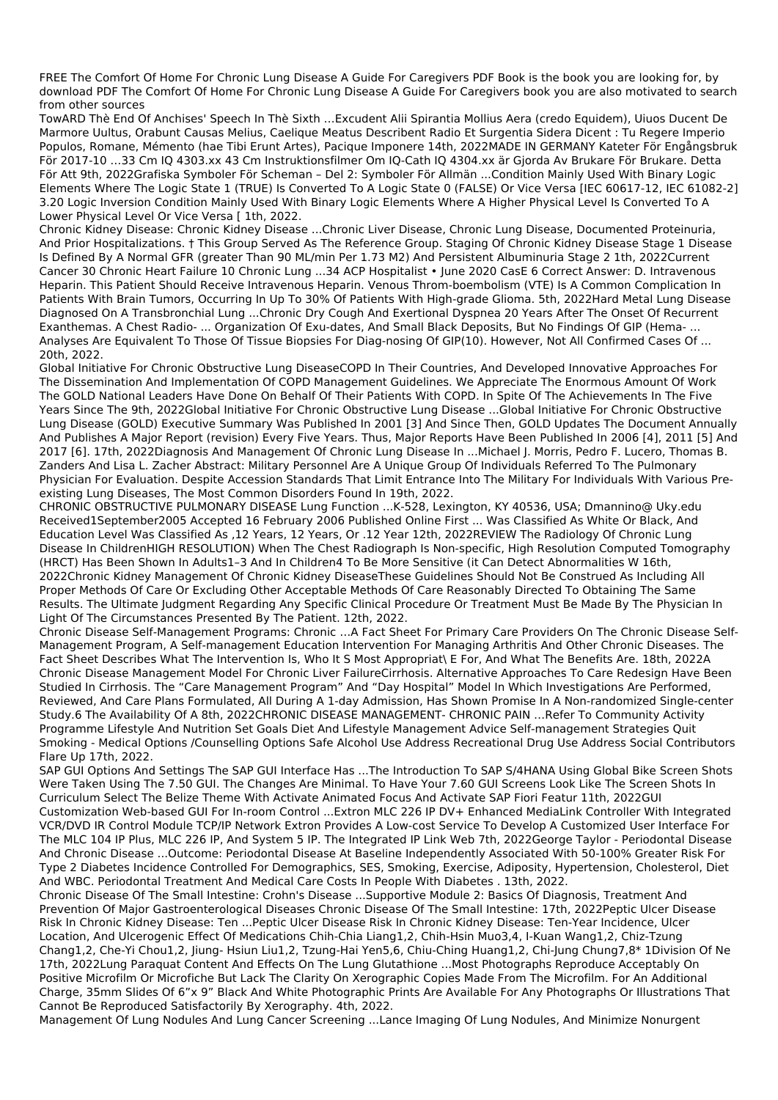FREE The Comfort Of Home For Chronic Lung Disease A Guide For Caregivers PDF Book is the book you are looking for, by download PDF The Comfort Of Home For Chronic Lung Disease A Guide For Caregivers book you are also motivated to search from other sources

TowARD Thè End Of Anchises' Speech In Thè Sixth ...Excudent Alii Spirantia Mollius Aera (credo Equidem), Uiuos Ducent De Marmore Uultus, Orabunt Causas Melius, Caelique Meatus Describent Radio Et Surgentia Sidera Dicent : Tu Regere Imperio Populos, Romane, Mémento (hae Tibi Erunt Artes), Pacique Imponere 14th, 2022MADE IN GERMANY Kateter För Engångsbruk För 2017-10 ...33 Cm IQ 4303.xx 43 Cm Instruktionsfilmer Om IQ-Cath IQ 4304.xx är Gjorda Av Brukare För Brukare. Detta För Att 9th, 2022Grafiska Symboler För Scheman - Del 2: Symboler För Allmän ...Condition Mainly Used With Binary Logic Elements Where The Logic State 1 (TRUE) Is Converted To A Logic State 0 (FALSE) Or Vice Versa [IEC 60617-12, IEC 61082-2] 3.20 Logic Inversion Condition Mainly Used With Binary Logic Elements Where A Higher Physical Level Is Converted To A Lower Physical Level Or Vice Versa [ 1th, 2022.

Chronic Kidney Disease: Chronic Kidney Disease ...Chronic Liver Disease, Chronic Lung Disease, Documented Proteinuria, And Prior Hospitalizations. † This Group Served As The Reference Group. Staging Of Chronic Kidney Disease Stage 1 Disease Is Defined By A Normal GFR (greater Than 90 ML/min Per 1.73 M2) And Persistent Albuminuria Stage 2 1th, 2022Current Cancer 30 Chronic Heart Failure 10 Chronic Lung ...34 ACP Hospitalist · June 2020 CasE 6 Correct Answer: D. Intravenous Heparin. This Patient Should Receive Intravenous Heparin. Venous Throm-boembolism (VTE) Is A Common Complication In Patients With Brain Tumors, Occurring In Up To 30% Of Patients With High-grade Glioma. 5th, 2022Hard Metal Lung Disease Diagnosed On A Transbronchial Lung ...Chronic Dry Cough And Exertional Dyspnea 20 Years After The Onset Of Recurrent Exanthemas. A Chest Radio- ... Organization Of Exu-dates, And Small Black Deposits, But No Findings Of GIP (Hema- ... Analyses Are Equivalent To Those Of Tissue Biopsies For Diag-nosing Of GIP(10). However, Not All Confirmed Cases Of ... 20th, 2022.

Global Initiative For Chronic Obstructive Lung DiseaseCOPD In Their Countries, And Developed Innovative Approaches For The Dissemination And Implementation Of COPD Management Guidelines. We Appreciate The Enormous Amount Of Work The GOLD National Leaders Have Done On Behalf Of Their Patients With COPD. In Spite Of The Achievements In The Five Years Since The 9th, 2022Global Initiative For Chronic Obstructive Lung Disease ...Global Initiative For Chronic Obstructive Lung Disease (GOLD) Executive Summary Was Published In 2001 [3] And Since Then, GOLD Updates The Document Annually And Publishes A Major Report (revision) Every Five Years. Thus, Major Reports Have Been Published In 2006 [4], 2011 [5] And 2017 [6]. 17th, 2022Diagnosis And Management Of Chronic Lung Disease In ...Michael J. Morris, Pedro F. Lucero, Thomas B. Zanders And Lisa L. Zacher Abstract: Military Personnel Are A Unique Group Of Individuals Referred To The Pulmonary Physician For Evaluation. Despite Accession Standards That Limit Entrance Into The Military For Individuals With Various Preexisting Lung Diseases, The Most Common Disorders Found In 19th, 2022.

CHRONIC OBSTRUCTIVE PULMONARY DISEASE Lung Function ...K-528, Lexington, KY 40536, USA; Dmannino@ Uky.edu Received1September2005 Accepted 16 February 2006 Published Online First ... Was Classified As White Or Black, And Education Level Was Classified As ,12 Years, 12 Years, Or .12 Year 12th, 2022REVIEW The Radiology Of Chronic Lung Disease In ChildrenHIGH RESOLUTION) When The Chest Radiograph Is Non-specific, High Resolution Computed Tomography (HRCT) Has Been Shown In Adults1-3 And In Children4 To Be More Sensitive (it Can Detect Abnormalities W 16th, 2022Chronic Kidney Management Of Chronic Kidney DiseaseThese Guidelines Should Not Be Construed As Including All Proper Methods Of Care Or Excluding Other Acceptable Methods Of Care Reasonably Directed To Obtaining The Same Results. The Ultimate Judgment Regarding Any Specific Clinical Procedure Or Treatment Must Be Made By The Physician In Light Of The Circumstances Presented By The Patient. 12th, 2022.

Chronic Disease Self-Management Programs: Chronic ...A Fact Sheet For Primary Care Providers On The Chronic Disease Self-Management Program, A Self-management Education Intervention For Managing Arthritis And Other Chronic Diseases. The Fact Sheet Describes What The Intervention Is, Who It S Most Appropriat\ E For, And What The Benefits Are. 18th, 2022A Chronic Disease Management Model For Chronic Liver FailureCirrhosis. Alternative Approaches To Care Redesign Have Been Studied In Cirrhosis. The "Care Management Program" And "Day Hospital" Model In Which Investigations Are Performed, Reviewed, And Care Plans Formulated, All During A 1-day Admission, Has Shown Promise In A Non-randomized Single-center Study.6 The Availability Of A 8th, 2022CHRONIC DISEASE MANAGEMENT- CHRONIC PAIN ...Refer To Community Activity Programme Lifestyle And Nutrition Set Goals Diet And Lifestyle Management Advice Self-management Strategies Quit Smoking - Medical Options /Counselling Options Safe Alcohol Use Address Recreational Drug Use Address Social Contributors Flare Up 17th, 2022.

SAP GUI Options And Settings The SAP GUI Interface Has ...The Introduction To SAP S/4HANA Using Global Bike Screen Shots Were Taken Using The 7.50 GUI. The Changes Are Minimal. To Have Your 7.60 GUI Screens Look Like The Screen Shots In Curriculum Select The Belize Theme With Activate Animated Focus And Activate SAP Fiori Featur 11th, 2022GUI Customization Web-based GUI For In-room Control ...Extron MLC 226 IP DV+ Enhanced MediaLink Controller With Integrated VCR/DVD IR Control Module TCP/IP Network Extron Provides A Low-cost Service To Develop A Customized User Interface For The MLC 104 IP Plus, MLC 226 IP, And System 5 IP. The Integrated IP Link Web 7th, 2022George Taylor - Periodontal Disease And Chronic Disease ... Outcome: Periodontal Disease At Baseline Independently Associated With 50-100% Greater Risk For Type 2 Diabetes Incidence Controlled For Demographics, SES, Smoking, Exercise, Adiposity, Hypertension, Cholesterol, Diet And WBC. Periodontal Treatment And Medical Care Costs In People With Diabetes . 13th, 2022. Chronic Disease Of The Small Intestine: Crohn's Disease ...Supportive Module 2: Basics Of Diagnosis, Treatment And Prevention Of Major Gastroenterological Diseases Chronic Disease Of The Small Intestine: 17th, 2022Peptic Ulcer Disease Risk In Chronic Kidney Disease: Ten ... Peptic Ulcer Disease Risk In Chronic Kidney Disease: Ten-Year Incidence, Ulcer Location, And Ulcerogenic Effect Of Medications Chih-Chia Liang1.2, Chih-Hsin Muo3.4, I-Kuan Wang1.2, Chiz-Tzung Chang1,2, Che-Yi Chou1,2, Jiung- Hsiun Liu1,2, Tzung-Hai Yen5,6, Chiu-Ching Huang1,2, Chi-Jung Chung7,8\* 1Division Of Ne 17th, 2022Lung Paraquat Content And Effects On The Lung Glutathione ... Most Photographs Reproduce Acceptably On Positive Microfilm Or Microfiche But Lack The Clarity On Xerographic Copies Made From The Microfilm. For An Additional Charge, 35mm Slides Of 6"x 9" Black And White Photographic Prints Are Available For Any Photographs Or Illustrations That Cannot Be Reproduced Satisfactorily By Xerography. 4th, 2022. Management Of Lung Nodules And Lung Cancer Screening ...Lance Imaging Of Lung Nodules, And Minimize Nonurgent